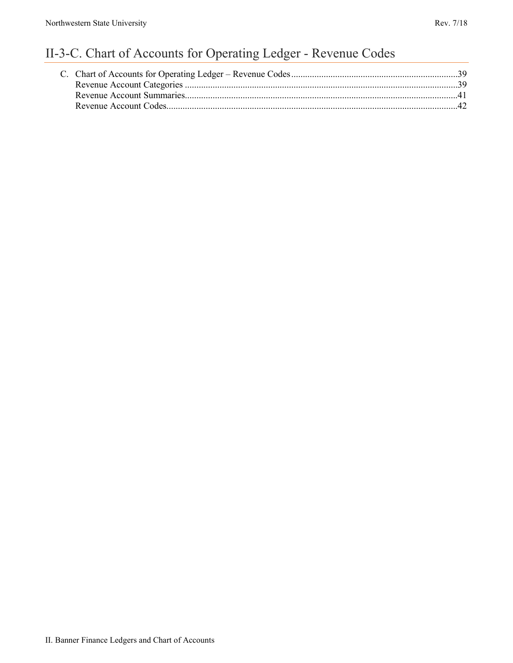# II-3-C. Chart of Accounts for Operating Ledger - Revenue Codes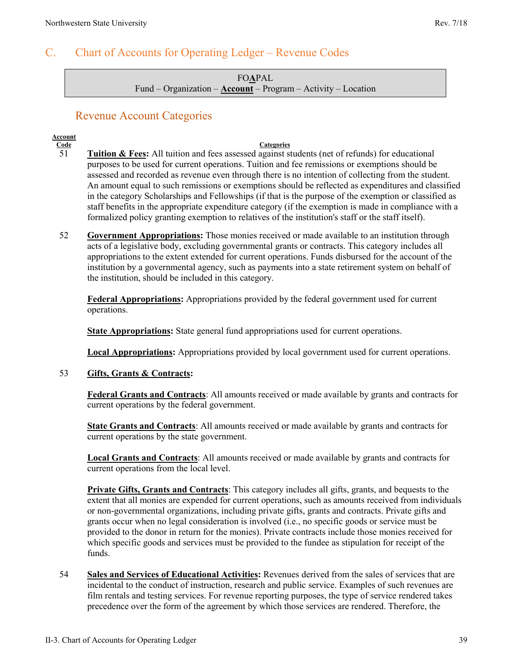### <span id="page-1-0"></span>C. Chart of Accounts for Operating Ledger – Revenue Codes

FO**A**PAL Fund – Organization – **Account** – Program – Activity – Location

### Revenue Account Categories

### <span id="page-1-1"></span>**Account**

#### **Code Categories** 51 **Tuition & Fees:** All tuition and fees assessed against students (net of refunds) for educational purposes to be used for current operations. Tuition and fee remissions or exemptions should be assessed and recorded as revenue even through there is no intention of collecting from the student. An amount equal to such remissions or exemptions should be reflected as expenditures and classified in the category Scholarships and Fellowships (if that is the purpose of the exemption or classified as staff benefits in the appropriate expenditure category (if the exemption is made in compliance with a formalized policy granting exemption to relatives of the institution's staff or the staff itself).

52 **Government Appropriations:** Those monies received or made available to an institution through acts of a legislative body, excluding governmental grants or contracts. This category includes all appropriations to the extent extended for current operations. Funds disbursed for the account of the institution by a governmental agency, such as payments into a state retirement system on behalf of the institution, should be included in this category.

**Federal Appropriations:** Appropriations provided by the federal government used for current operations.

**State Appropriations:** State general fund appropriations used for current operations.

**Local Appropriations:** Appropriations provided by local government used for current operations.

53 **Gifts, Grants & Contracts:**

**Federal Grants and Contracts**: All amounts received or made available by grants and contracts for current operations by the federal government.

**State Grants and Contracts**: All amounts received or made available by grants and contracts for current operations by the state government.

**Local Grants and Contracts**: All amounts received or made available by grants and contracts for current operations from the local level.

**Private Gifts, Grants and Contracts**: This category includes all gifts, grants, and bequests to the extent that all monies are expended for current operations, such as amounts received from individuals or non-governmental organizations, including private gifts, grants and contracts. Private gifts and grants occur when no legal consideration is involved (i.e., no specific goods or service must be provided to the donor in return for the monies). Private contracts include those monies received for which specific goods and services must be provided to the fundee as stipulation for receipt of the funds.

54 **Sales and Services of Educational Activities:** Revenues derived from the sales of services that are incidental to the conduct of instruction, research and public service. Examples of such revenues are film rentals and testing services. For revenue reporting purposes, the type of service rendered takes precedence over the form of the agreement by which those services are rendered. Therefore, the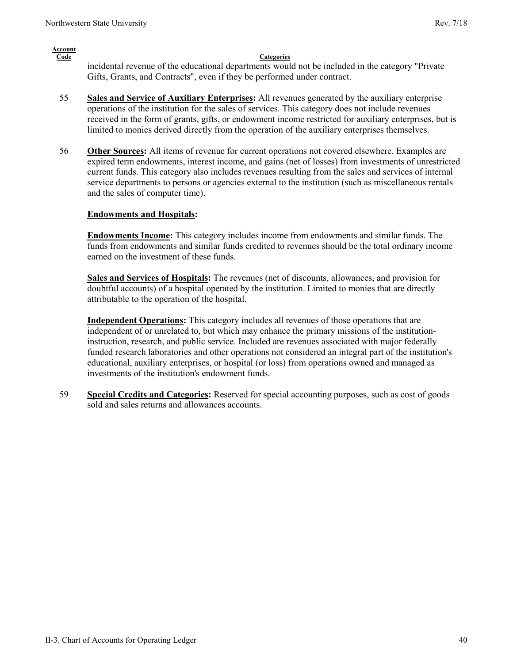#### **Account Code Categories** incidental revenue of the educational departments would not be included in the category "Private Gifts, Grants, and Contracts", even if they be performed under contract.

- 55 **Sales and Service of Auxiliary Enterprises:** All revenues generated by the auxiliary enterprise operations of the institution for the sales of services. This category does not include revenues received in the form of grants, gifts, or endowment income restricted for auxiliary enterprises, but is limited to monies derived directly from the operation of the auxiliary enterprises themselves.
- 56 **Other Sources:** All items of revenue for current operations not covered elsewhere. Examples are expired term endowments, interest income, and gains (net of losses) from investments of unrestricted current funds. This category also includes revenues resulting from the sales and services of internal service departments to persons or agencies external to the institution (such as miscellaneous rentals and the sales of computer time).

#### **Endowments and Hospitals:**

**Endowments Income:** This category includes income from endowments and similar funds. The funds from endowments and similar funds credited to revenues should be the total ordinary income earned on the investment of these funds.

**Sales and Services of Hospitals:** The revenues (net of discounts, allowances, and provision for doubtful accounts) of a hospital operated by the institution. Limited to monies that are directly attributable to the operation of the hospital.

**Independent Operations:** This category includes all revenues of those operations that are independent of or unrelated to, but which may enhance the primary missions of the institutioninstruction, research, and public service. Included are revenues associated with major federally funded research laboratories and other operations not considered an integral part of the institution's educational, auxiliary enterprises, or hospital (or loss) from operations owned and managed as investments of the institution's endowment funds.

59 **Special Credits and Categories:** Reserved for special accounting purposes, such as cost of goods sold and sales returns and allowances accounts.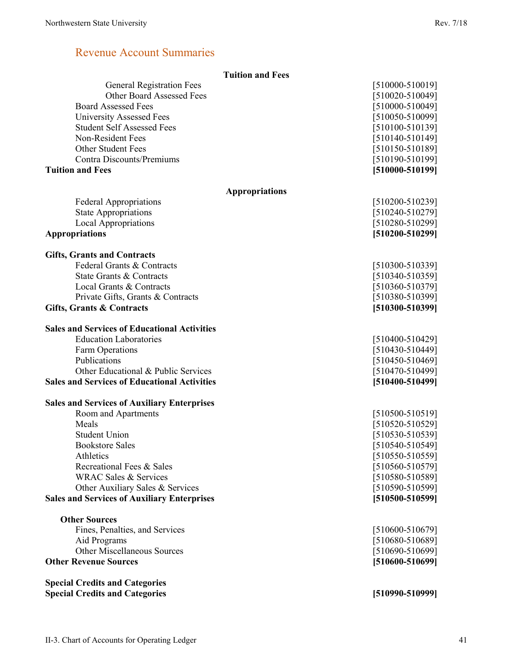### Revenue Account Summaries

<span id="page-3-0"></span>

|                                                     | <b>Tuition and Fees</b> |                     |
|-----------------------------------------------------|-------------------------|---------------------|
| <b>General Registration Fees</b>                    |                         | [510000-510019]     |
| <b>Other Board Assessed Fees</b>                    |                         | [510020-510049]     |
| <b>Board Assessed Fees</b>                          |                         | $[510000 - 510049]$ |
| University Assessed Fees                            |                         | $[510050 - 510099]$ |
| <b>Student Self Assessed Fees</b>                   |                         | $[510100 - 510139]$ |
| Non-Resident Fees                                   |                         | $[510140 - 510149]$ |
| <b>Other Student Fees</b>                           |                         | $[510150 - 510189]$ |
| <b>Contra Discounts/Premiums</b>                    |                         | [510190-510199]     |
| <b>Tuition and Fees</b>                             |                         | [510000-510199]     |
|                                                     | <b>Appropriations</b>   |                     |
| <b>Federal Appropriations</b>                       |                         | $[510200 - 510239]$ |
| <b>State Appropriations</b>                         |                         | $[510240 - 510279]$ |
| <b>Local Appropriations</b>                         |                         | [510280-510299]     |
| <b>Appropriations</b>                               |                         | [510200-510299]     |
| <b>Gifts, Grants and Contracts</b>                  |                         |                     |
| Federal Grants & Contracts                          |                         | [510300-510339]     |
| State Grants & Contracts                            |                         | [510340-510359]     |
| Local Grants & Contracts                            |                         | [510360-510379]     |
| Private Gifts, Grants & Contracts                   |                         | [510380-510399]     |
| Gifts, Grants & Contracts                           |                         | [510300-510399]     |
| <b>Sales and Services of Educational Activities</b> |                         |                     |
| <b>Education Laboratories</b>                       |                         | $[510400 - 510429]$ |
| Farm Operations                                     |                         | $[510430 - 510449]$ |
| Publications                                        |                         | $[510450 - 510469]$ |
| Other Educational & Public Services                 |                         | [510470-510499]     |
| <b>Sales and Services of Educational Activities</b> |                         | [510400-510499]     |
| <b>Sales and Services of Auxiliary Enterprises</b>  |                         |                     |
| Room and Apartments                                 |                         | $[510500 - 510519]$ |
| Meals                                               |                         | [510520-510529]     |
| <b>Student Union</b>                                |                         | [510530-510539]     |
| <b>Bookstore Sales</b>                              |                         | $[510540 - 510549]$ |
| Athletics                                           |                         | $[510550 - 510559]$ |
| Recreational Fees & Sales                           |                         | [510560-510579]     |
| <b>WRAC Sales &amp; Services</b>                    |                         | [510580-510589]     |
| Other Auxiliary Sales & Services                    |                         | [510590-510599]     |
| <b>Sales and Services of Auxiliary Enterprises</b>  |                         | [510500-510599]     |
| <b>Other Sources</b>                                |                         |                     |
| Fines, Penalties, and Services                      |                         | $[510600 - 510679]$ |
| Aid Programs                                        |                         | [510680-510689]     |
| <b>Other Miscellaneous Sources</b>                  |                         | [510690-510699]     |
| <b>Other Revenue Sources</b>                        |                         | $[510600 - 510699]$ |
| <b>Special Credits and Categories</b>               |                         |                     |
| <b>Special Credits and Categories</b>               |                         | [510990-510999]     |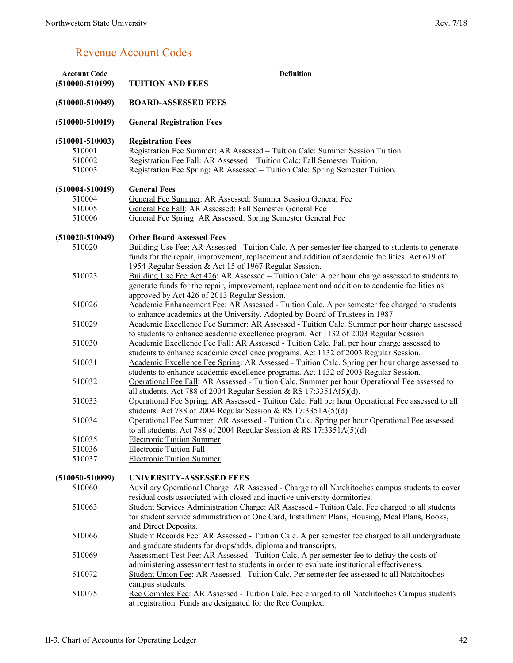## Revenue Account Codes

<span id="page-4-0"></span>

| <b>Account Code</b> | <b>Definition</b>                                                                                                                                                                         |
|---------------------|-------------------------------------------------------------------------------------------------------------------------------------------------------------------------------------------|
| $(510000 - 510199)$ | <b>TUITION AND FEES</b>                                                                                                                                                                   |
| $(510000 - 510049)$ | <b>BOARD-ASSESSED FEES</b>                                                                                                                                                                |
| $(510000 - 510019)$ | <b>General Registration Fees</b>                                                                                                                                                          |
| $(510001 - 510003)$ | <b>Registration Fees</b>                                                                                                                                                                  |
| 510001              | Registration Fee Summer: AR Assessed – Tuition Calc: Summer Session Tuition.                                                                                                              |
| 510002              | Registration Fee Fall: AR Assessed - Tuition Calc: Fall Semester Tuition.                                                                                                                 |
| 510003              | Registration Fee Spring: AR Assessed - Tuition Calc: Spring Semester Tuition.                                                                                                             |
| $(510004 - 510019)$ | <b>General Fees</b>                                                                                                                                                                       |
| 510004              | General Fee Summer: AR Assessed: Summer Session General Fee                                                                                                                               |
| 510005              | General Fee Fall: AR Assessed: Fall Semester General Fee                                                                                                                                  |
| 510006              | General Fee Spring: AR Assessed: Spring Semester General Fee                                                                                                                              |
| $(510020 - 510049)$ | <b>Other Board Assessed Fees</b>                                                                                                                                                          |
| 510020              | Building Use Fee: AR Assessed - Tuition Calc. A per semester fee charged to students to generate                                                                                          |
|                     | funds for the repair, improvement, replacement and addition of academic facilities. Act 619 of                                                                                            |
|                     | 1954 Regular Session & Act 15 of 1967 Regular Session.                                                                                                                                    |
| 510023              | Building Use Fee Act 426: AR Assessed – Tuition Calc: A per hour charge assessed to students to                                                                                           |
|                     | generate funds for the repair, improvement, replacement and addition to academic facilities as                                                                                            |
| 510026              | approved by Act 426 of 2013 Regular Session.<br>Academic Enhancement Fee: AR Assessed - Tuition Calc. A per semester fee charged to students                                              |
|                     | to enhance academics at the University. Adopted by Board of Trustees in 1987.                                                                                                             |
| 510029              | Academic Excellence Fee Summer: AR Assessed - Tuition Calc. Summer per hour charge assessed                                                                                               |
|                     | to students to enhance academic excellence program. Act 1132 of 2003 Regular Session.                                                                                                     |
| 510030              | Academic Excellence Fee Fall: AR Assessed - Tuition Calc. Fall per hour charge assessed to                                                                                                |
|                     | students to enhance academic excellence programs. Act 1132 of 2003 Regular Session.                                                                                                       |
| 510031              | Academic Excellence Fee Spring: AR Assessed - Tuition Calc. Spring per hour charge assessed to                                                                                            |
|                     | students to enhance academic excellence programs. Act 1132 of 2003 Regular Session.                                                                                                       |
| 510032              | Operational Fee Fall: AR Assessed - Tuition Calc. Summer per hour Operational Fee assessed to                                                                                             |
|                     | all students. Act 788 of 2004 Regular Session & RS $17:3351A(5)(d)$ .                                                                                                                     |
| 510033              | Operational Fee Spring: AR Assessed - Tuition Calc. Fall per hour Operational Fee assessed to all                                                                                         |
| 510034              | students. Act 788 of 2004 Regular Session & RS 17:3351A(5)(d)<br>Operational Fee Summer: AR Assessed - Tuition Calc. Spring per hour Operational Fee assessed                             |
|                     | to all students. Act 788 of 2004 Regular Session & RS $17:3351A(5)(d)$                                                                                                                    |
| 510035              | <b>Electronic Tuition Summer</b>                                                                                                                                                          |
| 510036              | <b>Electronic Tuition Fall</b>                                                                                                                                                            |
| 510037              | <b>Electronic Tuition Summer</b>                                                                                                                                                          |
| $(510050 - 510099)$ | <b>UNIVERSITY-ASSESSED FEES</b>                                                                                                                                                           |
| 510060              | Auxiliary Operational Charge: AR Assessed - Charge to all Natchitoches campus students to cover                                                                                           |
|                     | residual costs associated with closed and inactive university dormitories.                                                                                                                |
| 510063              | Student Services Administration Charge: AR Assessed - Tuition Calc. Fee charged to all students                                                                                           |
|                     | for student service administration of One Card, Installment Plans, Housing, Meal Plans, Books,                                                                                            |
|                     | and Direct Deposits.                                                                                                                                                                      |
| 510066              | Student Records Fee: AR Assessed - Tuition Calc. A per semester fee charged to all undergraduate                                                                                          |
|                     | and graduate students for drops/adds, diploma and transcripts.                                                                                                                            |
| 510069              | Assessment Test Fee: AR Assessed - Tuition Calc. A per semester fee to defray the costs of<br>administering assessment test to students in order to evaluate institutional effectiveness. |
| 510072              | Student Union Fee: AR Assessed - Tuition Calc. Per semester fee assessed to all Natchitoches                                                                                              |
|                     | campus students.                                                                                                                                                                          |
| 510075              | Rec Complex Fee: AR Assessed - Tuition Calc. Fee charged to all Natchitoches Campus students                                                                                              |
|                     | at registration. Funds are designated for the Rec Complex.                                                                                                                                |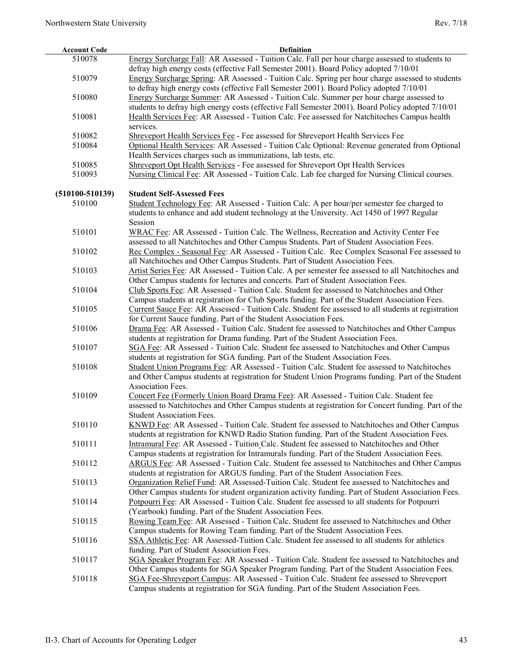L,

| <b>Account Code</b> | <b>Definition</b>                                                                                                                                                                                     |
|---------------------|-------------------------------------------------------------------------------------------------------------------------------------------------------------------------------------------------------|
| 510078              | Energy Surcharge Fall: AR Assessed - Tuition Calc. Fall per hour charge assessed to students to<br>defray high energy costs (effective Fall Semester 2001). Board Policy adopted 7/10/01              |
| 510079              | Energy Surcharge Spring: AR Assessed - Tuition Calc. Spring per hour charge assessed to students<br>to defray high energy costs (effective Fall Semester 2001). Board Policy adopted 7/10/01          |
| 510080              | Energy Surcharge Summer: AR Assessed - Tuition Calc. Summer per hour charge assessed to                                                                                                               |
| 510081              | students to defray high energy costs (effective Fall Semester 2001). Board Policy adopted 7/10/01<br>Health Services Fee: AR Assessed - Tuition Calc. Fee assessed for Natchitoches Campus health     |
|                     | services.                                                                                                                                                                                             |
| 510082              | Shreveport Health Services Fee - Fee assessed for Shreveport Health Services Fee                                                                                                                      |
| 510084              | Optional Health Services: AR Assessed - Tuition Calc Optional: Revenue generated from Optional<br>Health Services charges such as immunizations, lab tests, etc.                                      |
| 510085              | Shreveport Opt Health Services - Fee assessed for Shreveport Opt Health Services                                                                                                                      |
| 510093              | Nursing Clinical Fee: AR Assessed - Tuition Calc. Lab fee charged for Nursing Clinical courses.                                                                                                       |
| $(510100 - 510139)$ | <b>Student Self-Assessed Fees</b>                                                                                                                                                                     |
| 510100              | Student Technology Fee: AR Assessed - Tuition Calc. A per hour/per semester fee charged to                                                                                                            |
|                     | students to enhance and add student technology at the University. Act 1450 of 1997 Regular<br>Session                                                                                                 |
| 510101              | WRAC Fee: AR Assessed - Tuition Calc. The Wellness, Recreation and Activity Center Fee                                                                                                                |
|                     | assessed to all Natchitoches and Other Campus Students. Part of Student Association Fees.                                                                                                             |
| 510102              | Rec Complex - Seasonal Fee: AR Assessed - Tuition Calc. Rec Complex Seasonal Fee assessed to<br>all Natchitoches and Other Campus Students. Part of Student Association Fees.                         |
| 510103              | Artist Series Fee: AR Assessed - Tuition Calc. A per semester fee assessed to all Natchitoches and                                                                                                    |
|                     | Other Campus students for lectures and concerts. Part of Student Association Fees.                                                                                                                    |
| 510104              | Club Sports Fee: AR Assessed - Tuition Calc. Student fee assessed to Natchitoches and Other                                                                                                           |
|                     | Campus students at registration for Club Sports funding. Part of the Student Association Fees.<br>Current Sauce Fee: AR Assessed - Tuition Calc. Student fee assessed to all students at registration |
| 510105              | for Current Sauce funding. Part of the Student Association Fees.                                                                                                                                      |
| 510106              | Drama Fee: AR Assessed - Tuition Calc. Student fee assessed to Natchitoches and Other Campus                                                                                                          |
|                     | students at registration for Drama funding. Part of the Student Association Fees.                                                                                                                     |
| 510107              | SGA Fee: AR Assessed - Tuition Calc. Student fee assessed to Natchitoches and Other Campus<br>students at registration for SGA funding. Part of the Student Association Fees.                         |
| 510108              | Student Union Programs Fee: AR Assessed - Tuition Calc. Student fee assessed to Natchitoches                                                                                                          |
|                     | and Other Campus students at registration for Student Union Programs funding. Part of the Student                                                                                                     |
|                     | Association Fees.                                                                                                                                                                                     |
| 510109              | Concert Fee (Formerly Union Board Drama Fee): AR Assessed - Tuition Calc. Student fee                                                                                                                 |
|                     | assessed to Natchitoches and Other Campus students at registration for Concert funding. Part of the                                                                                                   |
|                     | <b>Student Association Fees.</b>                                                                                                                                                                      |
| 510110              | KNWD Fee: AR Assessed - Tuition Calc. Student fee assessed to Natchitoches and Other Campus<br>students at registration for KNWD Radio Station funding. Part of the Student Association Fees.         |
| 510111              | Intramural Fee: AR Assessed - Tuition Calc. Student fee assessed to Natchitoches and Other                                                                                                            |
|                     | Campus students at registration for Intramurals funding. Part of the Student Association Fees.                                                                                                        |
| 510112              | ARGUS Fee: AR Assessed - Tuition Calc. Student fee assessed to Natchitoches and Other Campus                                                                                                          |
|                     | students at registration for ARGUS funding. Part of the Student Association Fees.                                                                                                                     |
| 510113              | Organization Relief Fund: AR Assessed-Tuition Calc. Student fee assessed to Natchitoches and                                                                                                          |
| 510114              | Other Campus students for student organization activity funding. Part of Student Association Fees.<br>Potpourri Fee: AR Assessed - Tuition Calc. Student fee assessed to all students for Potpourri   |
|                     | (Yearbook) funding. Part of the Student Association Fees.                                                                                                                                             |
| 510115              | Rowing Team Fee: AR Assessed - Tuition Calc. Student fee assessed to Natchitoches and Other                                                                                                           |
|                     | Campus students for Rowing Team funding. Part of the Student Association Fees.                                                                                                                        |
| 510116              | SSA Athletic Fee: AR Assessed-Tuition Calc. Student fee assessed to all students for athletics                                                                                                        |
|                     | funding. Part of Student Association Fees.                                                                                                                                                            |
| 510117              | SGA Speaker Program Fee: AR Assessed - Tuition Calc. Student fee assessed to Natchitoches and                                                                                                         |
|                     | Other Campus students for SGA Speaker Program funding. Part of the Student Association Fees.                                                                                                          |
| 510118              | SGA Fee-Shreveport Campus: AR Assessed - Tuition Calc. Student fee assessed to Shreveport<br>Campus students at registration for SGA funding. Part of the Student Association Fees.                   |
|                     |                                                                                                                                                                                                       |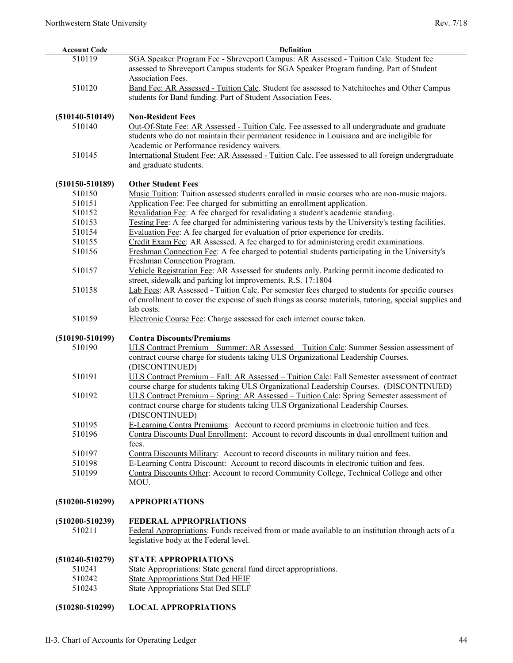| <b>Account Code</b> | Definition                                                                                            |
|---------------------|-------------------------------------------------------------------------------------------------------|
| 510119              | SGA Speaker Program Fee - Shreveport Campus: AR Assessed - Tuition Calc. Student fee                  |
|                     | assessed to Shreveport Campus students for SGA Speaker Program funding. Part of Student               |
|                     | Association Fees.                                                                                     |
| 510120              | Band Fee: AR Assessed - Tuition Calc. Student fee assessed to Natchitoches and Other Campus           |
|                     | students for Band funding. Part of Student Association Fees.                                          |
|                     |                                                                                                       |
| $(510140 - 510149)$ | <b>Non-Resident Fees</b>                                                                              |
| 510140              | Out-Of-State Fee: AR Assessed - Tuition Calc. Fee assessed to all undergraduate and graduate          |
|                     | students who do not maintain their permanent residence in Louisiana and are ineligible for            |
|                     | Academic or Performance residency waivers.                                                            |
| 510145              | International Student Fee: AR Assessed - Tuition Calc. Fee assessed to all foreign undergraduate      |
|                     | and graduate students.                                                                                |
|                     |                                                                                                       |
| $(510150 - 510189)$ | <b>Other Student Fees</b>                                                                             |
| 510150              | Music Tuition: Tuition assessed students enrolled in music courses who are non-music majors.          |
| 510151              | Application Fee: Fee charged for submitting an enrollment application.                                |
| 510152              | Revalidation Fee: A fee charged for revalidating a student's academic standing.                       |
| 510153              | Testing Fee: A fee charged for administering various tests by the University's testing facilities.    |
| 510154              | Evaluation Fee: A fee charged for evaluation of prior experience for credits.                         |
| 510155              | Credit Exam Fee: AR Assessed. A fee charged to for administering credit examinations.                 |
| 510156              | Freshman Connection Fee: A fee charged to potential students participating in the University's        |
|                     | Freshman Connection Program.                                                                          |
| 510157              | Vehicle Registration Fee: AR Assessed for students only. Parking permit income dedicated to           |
|                     | street, sidewalk and parking lot improvements. R.S. 17:1804                                           |
| 510158              | Lab Fees: AR Assessed - Tuition Calc. Per semester fees charged to students for specific courses      |
|                     | of enrollment to cover the expense of such things as course materials, tutoring, special supplies and |
|                     | lab costs.                                                                                            |
| 510159              | Electronic Course Fee: Charge assessed for each internet course taken.                                |
| $(510190 - 510199)$ | <b>Contra Discounts/Premiums</b>                                                                      |
| 510190              | ULS Contract Premium - Summer: AR Assessed - Tuition Calc: Summer Session assessment of               |
|                     | contract course charge for students taking ULS Organizational Leadership Courses.                     |
|                     | (DISCONTINUED)                                                                                        |
| 510191              | ULS Contract Premium - Fall: AR Assessed - Tuition Calc: Fall Semester assessment of contract         |
|                     | course charge for students taking ULS Organizational Leadership Courses. (DISCONTINUED)               |
| 510192              | ULS Contract Premium – Spring: AR Assessed – Tuition Calc: Spring Semester assessment of              |
|                     | contract course charge for students taking ULS Organizational Leadership Courses.                     |
|                     | (DISCONTINUED)                                                                                        |
| 510195              | E-Learning Contra Premiums: Account to record premiums in electronic tuition and fees.                |
| 510196              | Contra Discounts Dual Enrollment: Account to record discounts in dual enrollment tuition and          |
|                     | fees.                                                                                                 |
| 510197              | Contra Discounts Military: Account to record discounts in military tuition and fees.                  |
| 510198              | E-Learning Contra Discount: Account to record discounts in electronic tuition and fees.               |
| 510199              | Contra Discounts Other: Account to record Community College, Technical College and other              |
|                     | MOU.                                                                                                  |
|                     |                                                                                                       |
| $(510200 - 510299)$ | <b>APPROPRIATIONS</b>                                                                                 |
| $(510200 - 510239)$ | <b>FEDERAL APPROPRIATIONS</b>                                                                         |
| 510211              | Federal Appropriations: Funds received from or made available to an institution through acts of a     |
|                     | legislative body at the Federal level.                                                                |
|                     |                                                                                                       |
| $(510240 - 510279)$ | <b>STATE APPROPRIATIONS</b>                                                                           |
| 510241              | State Appropriations: State general fund direct appropriations.                                       |
| 510242              | <b>State Appropriations Stat Ded HEIF</b>                                                             |
| 510243              | <b>State Appropriations Stat Ded SELF</b>                                                             |
|                     |                                                                                                       |
| $(510280 - 510299)$ | <b>LOCAL APPROPRIATIONS</b>                                                                           |
|                     |                                                                                                       |
|                     |                                                                                                       |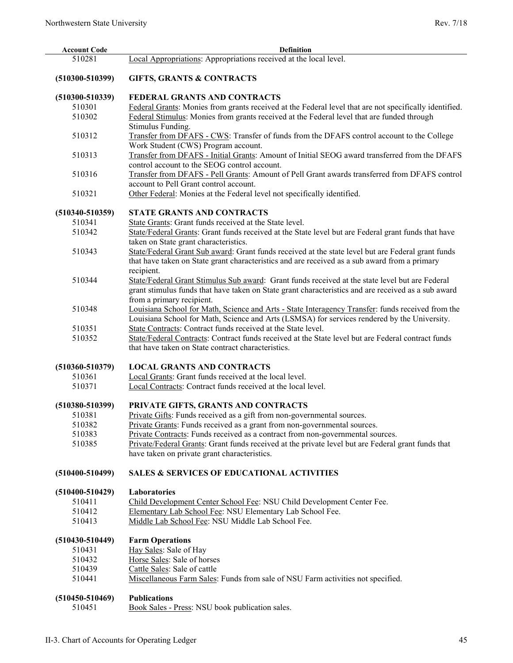| <b>Account Code</b> | <b>Definition</b>                                                                                      |
|---------------------|--------------------------------------------------------------------------------------------------------|
| 510281              | Local Appropriations: Appropriations received at the local level.                                      |
| $(510300 - 510399)$ | <b>GIFTS, GRANTS &amp; CONTRACTS</b>                                                                   |
| $(510300 - 510339)$ | FEDERAL GRANTS AND CONTRACTS                                                                           |
| 510301              | Federal Grants: Monies from grants received at the Federal level that are not specifically identified. |
| 510302              | Federal Stimulus: Monies from grants received at the Federal level that are funded through             |
|                     | Stimulus Funding.                                                                                      |
| 510312              | Transfer from DFAFS - CWS: Transfer of funds from the DFAFS control account to the College             |
|                     | Work Student (CWS) Program account.                                                                    |
| 510313              | Transfer from DFAFS - Initial Grants: Amount of Initial SEOG award transferred from the DFAFS          |
|                     | control account to the SEOG control account.                                                           |
| 510316              | Transfer from DFAFS - Pell Grants: Amount of Pell Grant awards transferred from DFAFS control          |
|                     | account to Pell Grant control account.                                                                 |
| 510321              |                                                                                                        |
|                     | Other Federal: Monies at the Federal level not specifically identified.                                |
| $(510340 - 510359)$ | <b>STATE GRANTS AND CONTRACTS</b>                                                                      |
| 510341              | State Grants: Grant funds received at the State level.                                                 |
| 510342              | State/Federal Grants: Grant funds received at the State level but are Federal grant funds that have    |
|                     | taken on State grant characteristics.                                                                  |
| 510343              | State/Federal Grant Sub award: Grant funds received at the state level but are Federal grant funds     |
|                     | that have taken on State grant characteristics and are received as a sub award from a primary          |
|                     | recipient.                                                                                             |
| 510344              | State/Federal Grant Stimulus Sub award: Grant funds received at the state level but are Federal        |
|                     | grant stimulus funds that have taken on State grant characteristics and are received as a sub award    |
|                     | from a primary recipient.                                                                              |
| 510348              | Louisiana School for Math, Science and Arts - State Interagency Transfer: funds received from the      |
|                     | Louisiana School for Math, Science and Arts (LSMSA) for services rendered by the University.           |
| 510351              | State Contracts: Contract funds received at the State level.                                           |
| 510352              | State/Federal Contracts: Contract funds received at the State level but are Federal contract funds     |
|                     | that have taken on State contract characteristics.                                                     |
|                     |                                                                                                        |
| $(510360 - 510379)$ | <b>LOCAL GRANTS AND CONTRACTS</b>                                                                      |
| 510361              | Local Grants: Grant funds received at the local level.                                                 |
| 510371              | Local Contracts: Contract funds received at the local level.                                           |
|                     |                                                                                                        |
| $(510380 - 510399)$ | PRIVATE GIFTS, GRANTS AND CONTRACTS                                                                    |
| 510381              | Private Gifts: Funds received as a gift from non-governmental sources.                                 |
| 510382              | Private Grants: Funds received as a grant from non-governmental sources.                               |
| 510383              | Private Contracts: Funds received as a contract from non-governmental sources.                         |
| 510385              | Private/Federal Grants: Grant funds received at the private level but are Federal grant funds that     |
|                     | have taken on private grant characteristics.                                                           |
| $(510400 - 510499)$ | <b>SALES &amp; SERVICES OF EDUCATIONAL ACTIVITIES</b>                                                  |
|                     |                                                                                                        |
| $(510400 - 510429)$ | Laboratories                                                                                           |
| 510411              | Child Development Center School Fee: NSU Child Development Center Fee.                                 |
| 510412              | Elementary Lab School Fee: NSU Elementary Lab School Fee.                                              |
| 510413              | Middle Lab School Fee: NSU Middle Lab School Fee.                                                      |
| $(510430 - 510449)$ |                                                                                                        |
| 510431              | <b>Farm Operations</b><br>Hay Sales: Sale of Hay                                                       |
| 510432              | Horse Sales: Sale of horses                                                                            |
| 510439              | Cattle Sales: Sale of cattle                                                                           |
| 510441              | Miscellaneous Farm Sales: Funds from sale of NSU Farm activities not specified.                        |
|                     |                                                                                                        |
| $(510450 - 510469)$ | <b>Publications</b>                                                                                    |
| 510451              | Book Sales - Press: NSU book publication sales.                                                        |
|                     |                                                                                                        |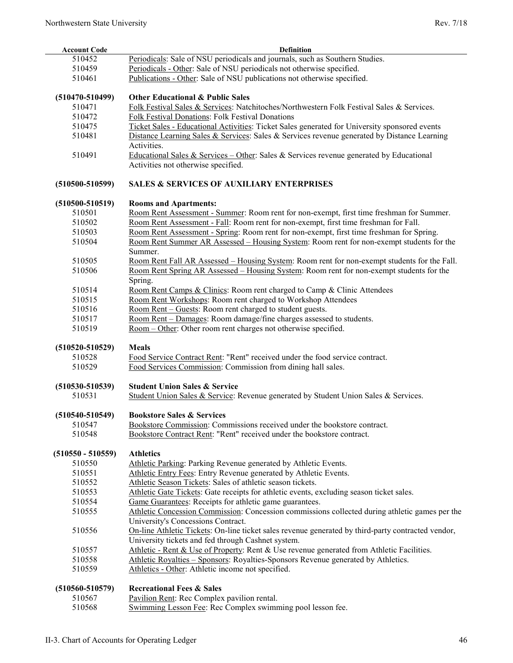| <b>Account Code</b> | <b>Definition</b>                                                                                         |
|---------------------|-----------------------------------------------------------------------------------------------------------|
| 510452              | Periodicals: Sale of NSU periodicals and journals, such as Southern Studies.                              |
| 510459              | Periodicals - Other: Sale of NSU periodicals not otherwise specified.                                     |
| 510461              | Publications - Other: Sale of NSU publications not otherwise specified.                                   |
|                     |                                                                                                           |
| $(510470 - 510499)$ | <b>Other Educational &amp; Public Sales</b>                                                               |
| 510471              | Folk Festival Sales & Services: Natchitoches/Northwestern Folk Festival Sales & Services.                 |
| 510472              | Folk Festival Donations: Folk Festival Donations                                                          |
| 510475              | Ticket Sales - Educational Activities: Ticket Sales generated for University sponsored events             |
| 510481              | Distance Learning Sales & Services: Sales & Services revenue generated by Distance Learning               |
|                     | Activities.                                                                                               |
| 510491              | <u>Educational Sales &amp; Services – Other</u> : Sales & Services revenue generated by Educational       |
|                     | Activities not otherwise specified.                                                                       |
|                     |                                                                                                           |
| $(510500 - 510599)$ | <b>SALES &amp; SERVICES OF AUXILIARY ENTERPRISES</b>                                                      |
|                     |                                                                                                           |
| $(510500 - 510519)$ | <b>Rooms and Apartments:</b>                                                                              |
| 510501              | Room Rent Assessment - Summer: Room rent for non-exempt, first time freshman for Summer.                  |
| 510502              | Room Rent Assessment - Fall: Room rent for non-exempt, first time freshman for Fall.                      |
| 510503              | Room Rent Assessment - Spring: Room rent for non-exempt, first time freshman for Spring.                  |
| 510504              | Room Rent Summer AR Assessed – Housing System: Room rent for non-exempt students for the                  |
|                     | Summer.                                                                                                   |
| 510505              | Room Rent Fall AR Assessed - Housing System: Room rent for non-exempt students for the Fall.              |
| 510506              | Room Rent Spring AR Assessed – Housing System: Room rent for non-exempt students for the                  |
|                     | Spring.                                                                                                   |
| 510514              | Room Rent Camps & Clinics: Room rent charged to Camp & Clinic Attendees                                   |
| 510515              | Room Rent Workshops: Room rent charged to Workshop Attendees                                              |
| 510516              | Room Rent - Guests: Room rent charged to student guests.                                                  |
| 510517              | Room Rent - Damages: Room damage/fine charges assessed to students.                                       |
| 510519              | Room - Other: Other room rent charges not otherwise specified.                                            |
| $(510520 - 510529)$ | <b>Meals</b>                                                                                              |
| 510528              | Food Service Contract Rent: "Rent" received under the food service contract.                              |
| 510529              | Food Services Commission: Commission from dining hall sales.                                              |
|                     |                                                                                                           |
| $(510530 - 510539)$ | <b>Student Union Sales &amp; Service</b>                                                                  |
| 510531              | Student Union Sales & Service: Revenue generated by Student Union Sales & Services.                       |
|                     |                                                                                                           |
| $(510540 - 510549)$ | <b>Bookstore Sales &amp; Services</b>                                                                     |
| 510547              | Bookstore Commission: Commissions received under the bookstore contract.                                  |
| 510548              | Bookstore Contract Rent: "Rent" received under the bookstore contract.                                    |
|                     |                                                                                                           |
| $(510550 - 510559)$ | <b>Athletics</b>                                                                                          |
| 510550              | Athletic Parking: Parking Revenue generated by Athletic Events.                                           |
| 510551              | Athletic Entry Fees: Entry Revenue generated by Athletic Events.                                          |
| 510552              | Athletic Season Tickets: Sales of athletic season tickets.                                                |
| 510553              | Athletic Gate Tickets: Gate receipts for athletic events, excluding season ticket sales.                  |
| 510554              | Game Guarantees: Receipts for athletic game guarantees.                                                   |
| 510555              | Athletic Concession Commission: Concession commissions collected during athletic games per the            |
|                     | University's Concessions Contract.                                                                        |
| 510556              | On-line Athletic Tickets: On-line ticket sales revenue generated by third-party contracted vendor,        |
|                     | University tickets and fed through Cashnet system.                                                        |
| 510557              | Athletic - Rent & Use of Property: Rent & Use revenue generated from Athletic Facilities.                 |
| 510558              | Athletic Royalties - Sponsors: Royalties-Sponsors Revenue generated by Athletics.                         |
| 510559              | Athletics - Other: Athletic income not specified.                                                         |
|                     | <b>Recreational Fees &amp; Sales</b>                                                                      |
| $(510560 - 510579)$ |                                                                                                           |
| 510567<br>510568    | Pavilion Rent: Rec Complex pavilion rental.<br>Swimming Lesson Fee: Rec Complex swimming pool lesson fee. |
|                     |                                                                                                           |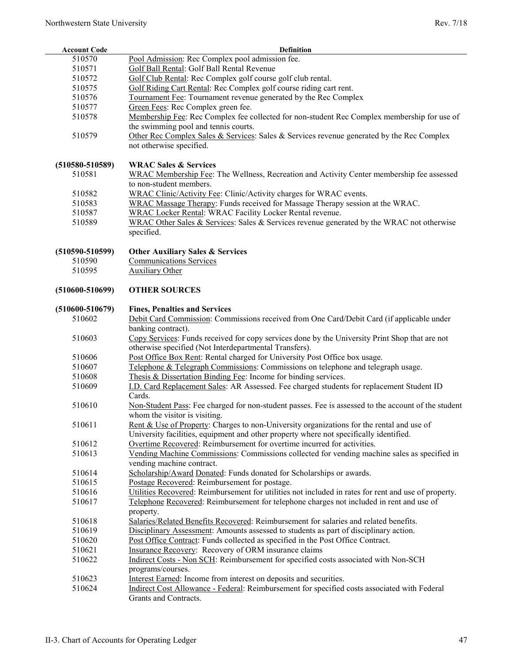| <b>Account Code</b> | Definition                                                                                           |
|---------------------|------------------------------------------------------------------------------------------------------|
| 510570              | Pool Admission: Rec Complex pool admission fee.                                                      |
| 510571              | Golf Ball Rental: Golf Ball Rental Revenue                                                           |
| 510572              | Golf Club Rental: Rec Complex golf course golf club rental.                                          |
| 510575              | Golf Riding Cart Rental: Rec Complex golf course riding cart rent.                                   |
| 510576              | Tournament Fee: Tournament revenue generated by the Rec Complex                                      |
| 510577              | Green Fees: Rec Complex green fee.                                                                   |
| 510578              | Membership Fee: Rec Complex fee collected for non-student Rec Complex membership for use of          |
|                     | the swimming pool and tennis courts.                                                                 |
| 510579              | Other Rec Complex Sales & Services: Sales & Services revenue generated by the Rec Complex            |
|                     | not otherwise specified.                                                                             |
|                     |                                                                                                      |
| $(510580 - 510589)$ | <b>WRAC Sales &amp; Services</b>                                                                     |
| 510581              | WRAC Membership Fee: The Wellness, Recreation and Activity Center membership fee assessed            |
|                     | to non-student members.                                                                              |
| 510582              | WRAC Clinic/Activity Fee: Clinic/Activity charges for WRAC events.                                   |
| 510583              | WRAC Massage Therapy: Funds received for Massage Therapy session at the WRAC.                        |
| 510587              | WRAC Locker Rental: WRAC Facility Locker Rental revenue.                                             |
| 510589              | WRAC Other Sales & Services: Sales & Services revenue generated by the WRAC not otherwise            |
|                     | specified.                                                                                           |
|                     |                                                                                                      |
| $(510590 - 510599)$ | <b>Other Auxiliary Sales &amp; Services</b>                                                          |
| 510590              | <b>Communications Services</b>                                                                       |
| 510595              | <b>Auxiliary Other</b>                                                                               |
|                     |                                                                                                      |
| $(510600 - 510699)$ | <b>OTHER SOURCES</b>                                                                                 |
|                     |                                                                                                      |
| $(510600 - 510679)$ | <b>Fines, Penalties and Services</b>                                                                 |
| 510602              | Debit Card Commission: Commissions received from One Card/Debit Card (if applicable under            |
|                     | banking contract).                                                                                   |
| 510603              | Copy Services: Funds received for copy services done by the University Print Shop that are not       |
|                     | otherwise specified (Not Interdepartmental Transfers).                                               |
| 510606              | Post Office Box Rent: Rental charged for University Post Office box usage.                           |
| 510607              | Telephone & Telegraph Commissions: Commissions on telephone and telegraph usage.                     |
| 510608              | Thesis & Dissertation Binding Fee: Income for binding services.                                      |
| 510609              | I.D. Card Replacement Sales: AR Assessed. Fee charged students for replacement Student ID            |
|                     | Cards.                                                                                               |
| 510610              | Non-Student Pass: Fee charged for non-student passes. Fee is assessed to the account of the student  |
|                     | whom the visitor is visiting.                                                                        |
| 510611              | Rent & Use of Property: Charges to non-University organizations for the rental and use of            |
|                     | University facilities, equipment and other property where not specifically identified.               |
| 510612              | Overtime Recovered: Reimbursement for overtime incurred for activities.                              |
| 510613              | Vending Machine Commissions: Commissions collected for vending machine sales as specified in         |
|                     | vending machine contract.                                                                            |
| 510614              | Scholarship/Award Donated: Funds donated for Scholarships or awards.                                 |
| 510615              | Postage Recovered: Reimbursement for postage.                                                        |
| 510616              | Utilities Recovered: Reimbursement for utilities not included in rates for rent and use of property. |
| 510617              | Telephone Recovered: Reimbursement for telephone charges not included in rent and use of             |
|                     | property.                                                                                            |
| 510618              | Salaries/Related Benefits Recovered: Reimbursement for salaries and related benefits.                |
| 510619              | Disciplinary Assessment: Amounts assessed to students as part of disciplinary action.                |
| 510620              | Post Office Contract: Funds collected as specified in the Post Office Contract.                      |
| 510621              | Insurance Recovery: Recovery of ORM insurance claims                                                 |
| 510622              | Indirect Costs - Non SCH: Reimbursement for specified costs associated with Non-SCH                  |
|                     | programs/courses.                                                                                    |
| 510623              | Interest Earned: Income from interest on deposits and securities.                                    |
| 510624              | Indirect Cost Allowance - Federal: Reimbursement for specified costs associated with Federal         |
|                     | Grants and Contracts.                                                                                |